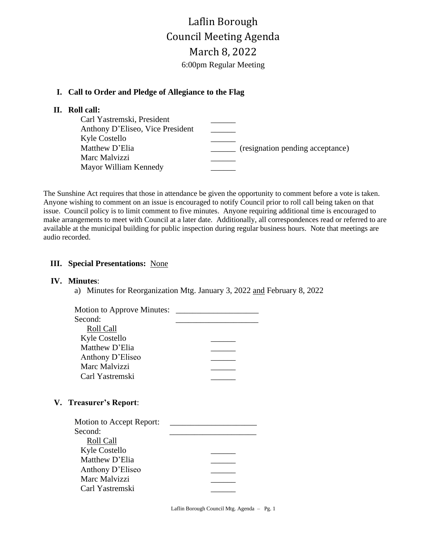# Laflin Borough Council Meeting Agenda March 8, 2022 6:00pm Regular Meeting

## **I. Call to Order and Pledge of Allegiance to the Flag**

### **II. Roll call:**

| Carl Yastremski, President       |                                  |
|----------------------------------|----------------------------------|
| Anthony D'Eliseo, Vice President |                                  |
| Kyle Costello                    |                                  |
| Matthew D'Elia                   | (resignation pending acceptance) |
| Marc Malvizzi                    |                                  |
| Mayor William Kennedy            |                                  |
|                                  |                                  |

The Sunshine Act requires that those in attendance be given the opportunity to comment before a vote is taken. Anyone wishing to comment on an issue is encouraged to notify Council prior to roll call being taken on that issue. Council policy is to limit comment to five minutes. Anyone requiring additional time is encouraged to make arrangements to meet with Council at a later date. Additionally, all correspondences read or referred to are available at the municipal building for public inspection during regular business hours. Note that meetings are audio recorded.

## **III. Special Presentations:** None

#### **IV. Minutes**:

a) Minutes for Reorganization Mtg. January 3, 2022 and February 8, 2022

| <b>Motion to Approve Minutes:</b> |  |
|-----------------------------------|--|
| Second:                           |  |
| Roll Call                         |  |
| Kyle Costello                     |  |
| Matthew D'Elia                    |  |
| Anthony D'Eliseo                  |  |
| Marc Malvizzi                     |  |
| Carl Yastremski                   |  |
|                                   |  |

### **V. Treasurer's Report**:

Laflin Borough Council Mtg. Agenda – Pg. 1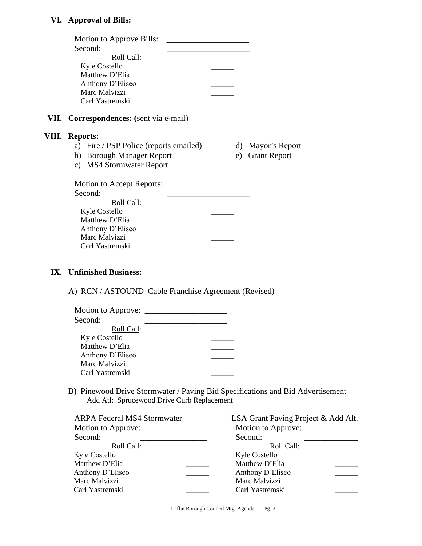## **VI. Approval of Bills:**

| Motion to Approve Bills:<br>Second:            |  |    |                     |
|------------------------------------------------|--|----|---------------------|
| Roll Call:                                     |  |    |                     |
| Kyle Costello                                  |  |    |                     |
| Matthew D'Elia                                 |  |    |                     |
| Anthony D'Eliseo                               |  |    |                     |
| Marc Malvizzi                                  |  |    |                     |
| Carl Yastremski                                |  |    |                     |
| <b>VII.</b> Correspondences: (sent via e-mail) |  |    |                     |
| <b>VIII.</b> Reports:                          |  |    |                     |
| a) Fire / PSP Police (reports emailed)         |  | d) | Mayor's Report      |
| b) Borough Manager Report                      |  | e) | <b>Grant Report</b> |
| c) MS4 Stormwater Report                       |  |    |                     |
| Motion to Accept Reports:                      |  |    |                     |
| Second:                                        |  |    |                     |
| Roll Call:                                     |  |    |                     |
| <b>Kyle Costello</b>                           |  |    |                     |
| Matthew D'Elia                                 |  |    |                     |
| Anthony D'Eliseo                               |  |    |                     |
| Marc Malvizzi                                  |  |    |                     |
| Carl Yastremski                                |  |    |                     |
| IX. Unfinished Business:                       |  |    |                     |

## A) RCN / ASTOUND Cable Franchise Agreement (Revised) –

| Motion to Approve: |  |
|--------------------|--|
| Second:            |  |
| Roll Call:         |  |
| Kyle Costello      |  |
| Matthew D'Elia     |  |
| Anthony D'Eliseo   |  |
| Marc Malvizzi      |  |
| Carl Yastremski    |  |

 B) Pinewood Drive Stormwater / Paving Bid Specifications and Bid Advertisement – Add Atl: Sprucewood Drive Curb Replacement

| <b>ARPA Federal MS4 Stormwater</b> | <b>LSA Grant Paving Project &amp; Add Alt.</b> |  |
|------------------------------------|------------------------------------------------|--|
| Motion to Approve:                 | Motion to Approve:                             |  |
| Second:                            | Second:                                        |  |
| Roll Call:                         | Roll Call:                                     |  |
| Kyle Costello                      | Kyle Costello                                  |  |
| Matthew D'Elia                     | Matthew D'Elia                                 |  |
| Anthony D'Eliseo                   | Anthony D'Eliseo                               |  |
| Marc Malvizzi                      | Marc Malvizzi                                  |  |
| Carl Yastremski                    | Carl Yastremski                                |  |
|                                    |                                                |  |

Laflin Borough Council Mtg. Agenda – Pg. 2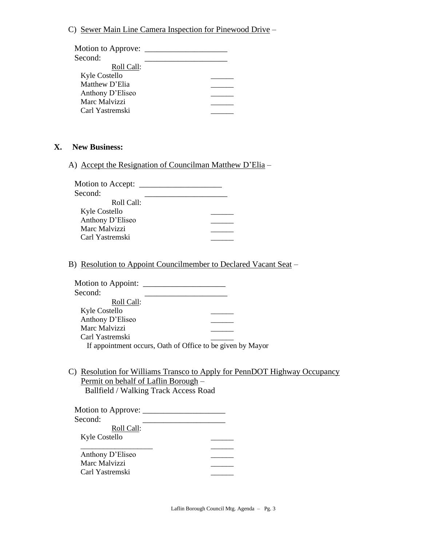#### C) Sewer Main Line Camera Inspection for Pinewood Drive –

| Motion to Approve: |  |  |
|--------------------|--|--|
| Second:            |  |  |
| Roll Call:         |  |  |
| Kyle Costello      |  |  |
| Matthew D'Elia     |  |  |
| Anthony D'Eliseo   |  |  |
| Marc Malvizzi      |  |  |
| Carl Yastremski    |  |  |
|                    |  |  |

#### **X. New Business:**

A) Accept the Resignation of Councilman Matthew D'Elia –

| Motion to Accept: _ |  |
|---------------------|--|
| Second:             |  |
| Roll Call:          |  |
| Kyle Costello       |  |
| Anthony D'Eliseo    |  |
| Marc Malvizzi       |  |
| Carl Yastremski     |  |
|                     |  |

B) Resolution to Appoint Councilmember to Declared Vacant Seat –

| <b>Motion to Appoint:</b>                                  |  |
|------------------------------------------------------------|--|
| Second:                                                    |  |
| Roll Call:                                                 |  |
| <b>Kyle Costello</b>                                       |  |
| Anthony D'Eliseo                                           |  |
| Marc Malvizzi                                              |  |
| Carl Yastremski                                            |  |
| If appointment occurs, Oath of Office to be given by Mayor |  |

C) Resolution for Williams Transco to Apply for PennDOT Highway Occupancy Permit on behalf of Laflin Borough – Ballfield / Walking Track Access Road

| Motion to Approve: |  |
|--------------------|--|
| Second:            |  |
| Roll Call:         |  |
| Kyle Costello      |  |
|                    |  |
| Anthony D'Eliseo   |  |
| Marc Malvizzi      |  |
| Carl Yastremski    |  |
|                    |  |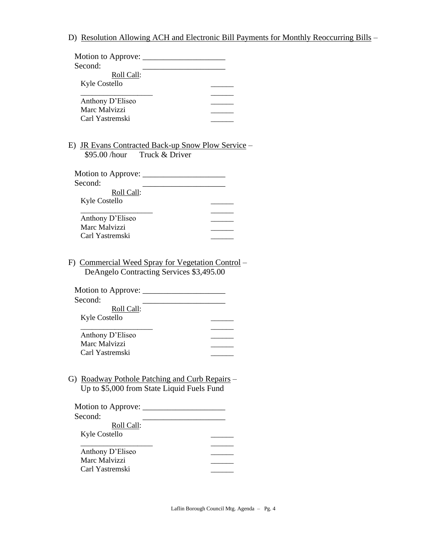## D) Resolution Allowing ACH and Electronic Bill Payments for Monthly Reoccurring Bills –

| Second:                                                                                                          |  |
|------------------------------------------------------------------------------------------------------------------|--|
| Roll Call:                                                                                                       |  |
| Kyle Costello                                                                                                    |  |
|                                                                                                                  |  |
| Anthony D'Eliseo                                                                                                 |  |
| Marc Malvizzi                                                                                                    |  |
| Carl Yastremski                                                                                                  |  |
|                                                                                                                  |  |
| E) <b>JR Evans Contracted Back-up Snow Plow Service</b>                                                          |  |
| \$95.00 /hour Truck & Driver                                                                                     |  |
|                                                                                                                  |  |
|                                                                                                                  |  |
| Second:                                                                                                          |  |
| Roll Call:                                                                                                       |  |
| Kyle Costello                                                                                                    |  |
|                                                                                                                  |  |
| Anthony D'Eliseo                                                                                                 |  |
| Marc Malvizzi                                                                                                    |  |
|                                                                                                                  |  |
| Carl Yastremski<br>F) Commercial Weed Spray for Vegetation Control –<br>DeAngelo Contracting Services \$3,495.00 |  |
| Second:<br>Roll Call:                                                                                            |  |
| Kyle Costello                                                                                                    |  |
|                                                                                                                  |  |
| Anthony D'Eliseo                                                                                                 |  |
| Marc Malvizzi                                                                                                    |  |
| Carl Yastremski                                                                                                  |  |
| G) Roadway Pothole Patching and Curb Repairs –<br>Up to \$5,000 from State Liquid Fuels Fund                     |  |
|                                                                                                                  |  |
|                                                                                                                  |  |
| Second:                                                                                                          |  |
| Roll Call:                                                                                                       |  |
| Kyle Costello                                                                                                    |  |
|                                                                                                                  |  |
| Anthony D'Eliseo                                                                                                 |  |
| Marc Malvizzi<br>Carl Yastremski                                                                                 |  |